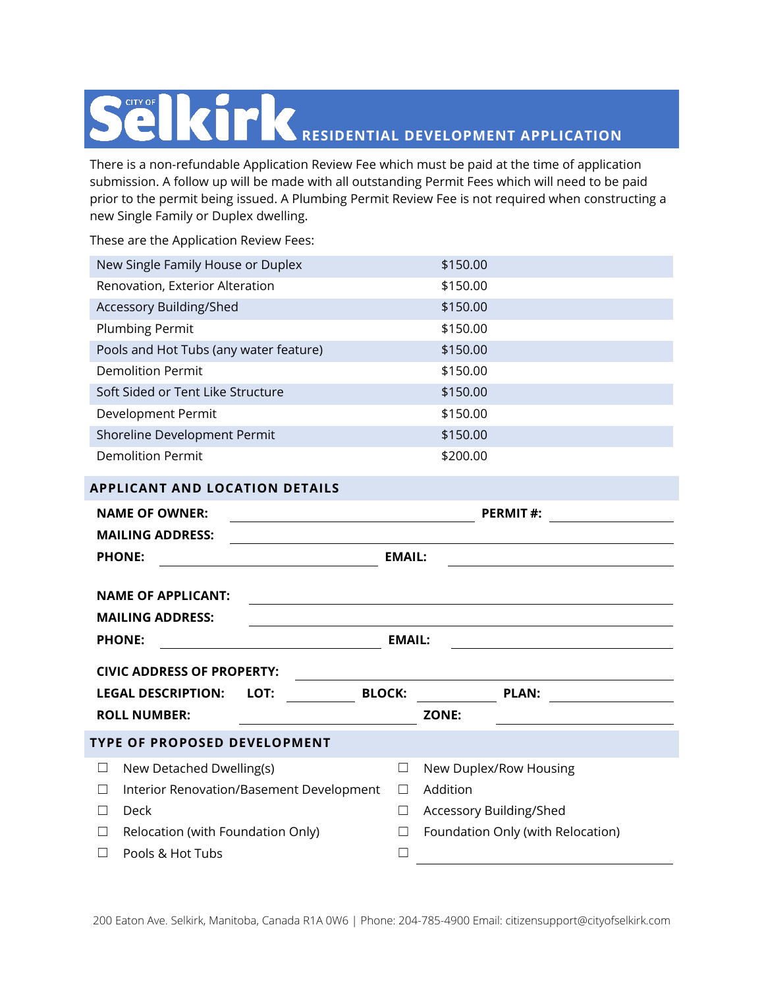## **RESIDENTIAL DEVELOPMENT APPLICATION** CITY OF

There is a non-refundable Application Review Fee which must be paid at the time of application submission. A follow up will be made with all outstanding Permit Fees which will need to be paid prior to the permit being issued. A Plumbing Permit Review Fee is not required when constructing a new Single Family or Duplex dwelling.

These are the Application Review Fees:

| New Single Family House or Duplex      | \$150.00 |
|----------------------------------------|----------|
| Renovation, Exterior Alteration        | \$150.00 |
| Accessory Building/Shed                | \$150.00 |
| <b>Plumbing Permit</b>                 | \$150.00 |
| Pools and Hot Tubs (any water feature) | \$150.00 |
| Demolition Permit                      | \$150.00 |
| Soft Sided or Tent Like Structure      | \$150.00 |
| Development Permit                     | \$150.00 |
| Shoreline Development Permit           | \$150.00 |
| Demolition Permit                      | \$200.00 |

## **APPLICANT AND LOCATION DETAILS**

| <b>NAME OF OWNER:</b>                              |               | <b>PERMIT#:</b>                                             |  |  |  |
|----------------------------------------------------|---------------|-------------------------------------------------------------|--|--|--|
| <b>MAILING ADDRESS:</b>                            |               |                                                             |  |  |  |
| <b>PHONE:</b>                                      | <b>EMAIL:</b> |                                                             |  |  |  |
| <b>NAME OF APPLICANT:</b>                          |               |                                                             |  |  |  |
|                                                    |               | <u> 1989 - Johann Stoff, amerikansk politiker (d. 1989)</u> |  |  |  |
| <b>MAILING ADDRESS:</b>                            |               |                                                             |  |  |  |
| <b>EMAIL:</b><br><b>PHONE:</b>                     |               |                                                             |  |  |  |
| <b>CIVIC ADDRESS OF PROPERTY:</b>                  |               |                                                             |  |  |  |
| <b>LEGAL DESCRIPTION:</b><br>LOT:                  | <b>BLOCK:</b> | <b>PLAN:</b><br>the control of the control of the           |  |  |  |
| <b>ROLL NUMBER:</b>                                |               | <b>ZONE:</b>                                                |  |  |  |
| TYPE OF PROPOSED DEVELOPMENT                       |               |                                                             |  |  |  |
| New Detached Dwelling(s)<br>⊔                      | $\Box$        | New Duplex/Row Housing                                      |  |  |  |
| Interior Renovation/Basement Development<br>$\Box$ | $\Box$        | Addition                                                    |  |  |  |
| Deck<br>$\perp$                                    | □             | Accessory Building/Shed                                     |  |  |  |
| Relocation (with Foundation Only)<br>$\Box$        |               | Foundation Only (with Relocation)                           |  |  |  |
| Pools & Hot Tubs                                   |               |                                                             |  |  |  |